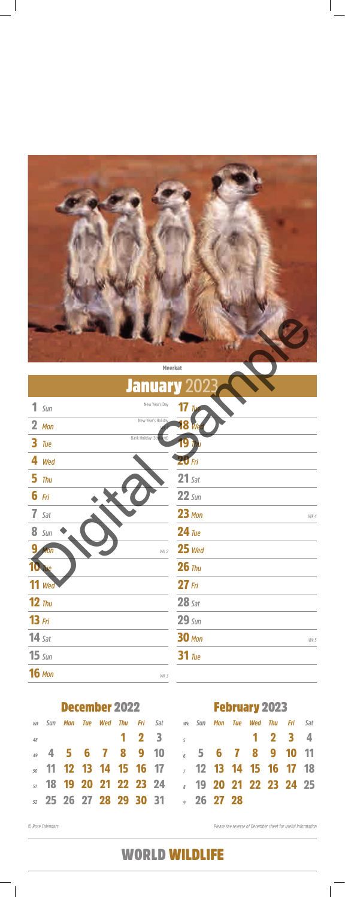

#### Meerkat

*© Rose Calendars Please see reverse of December sheet for useful Information*

### February 2023

*48*

*49*

*50*

*51*

*52*

#### December 2022

|    |  |  |  | wx Sun <b>Mon Tue Wed Thu Fri</b> Sat   wx Sun <b>Mon Tue Wed Thu Fri</b> Sat |  |  |  |  |
|----|--|--|--|-------------------------------------------------------------------------------|--|--|--|--|
| 48 |  |  |  | $1 \t2 \t3 \t3 \t1 \t2 \t3 \t4$                                               |  |  |  |  |
|    |  |  |  | 49 4 5 6 7 8 9 10 6 5 6 7 8 9 10 11                                           |  |  |  |  |
|    |  |  |  | <i>so</i> <b>11 12 13 14 15 16 17</b> 7 <b>12 13 14 15 16 17 18</b>           |  |  |  |  |
|    |  |  |  | sr 18 19 20 21 22 23 24           19 20 21 22 23 24 25                        |  |  |  |  |
|    |  |  |  |                                                                               |  |  |  |  |

|   |                   | Meerkat                 |                    |      |
|---|-------------------|-------------------------|--------------------|------|
|   |                   | <b>January 202</b>      |                    |      |
|   | $1 \, \text{Sun}$ | New Year's Day          | 17 Tre             |      |
|   | $2$ Mon           | New Year's Holiday      | <b>18 M</b>        |      |
|   | $3$ Tue           | Bank Holiday (Scotland) | 9<br><b>Thu</b>    |      |
|   | 4 Wed             |                         | <b>20 Fri</b>      |      |
|   | $5$ Thu           |                         | $21$ Sat           |      |
|   | $6$ Fri           |                         | $22 \, \text{Sun}$ |      |
|   | $7$ Sat           |                         | $23$ Mon           | Wk 4 |
|   | <b>8</b> Sun      |                         | $24$ Tue           |      |
| 9 | Mon               | Wk 2                    | $25$ Wed           |      |
|   |                   |                         | $26$ Thu           |      |
|   | $11$ Wed          |                         | $27$ Fri           |      |
|   | $12$ Thu          |                         | $28$ Sat           |      |
|   | $13$ Fri          |                         | $29 \, \text{Sun}$ |      |
|   | $14$ Sat          |                         | <b>30 Mon</b>      | Wk 5 |

|  | ∣ \ <i>in</i> |  |
|--|---------------|--|
|--|---------------|--|

16 Mon

*Tue* 31

*Wk 3*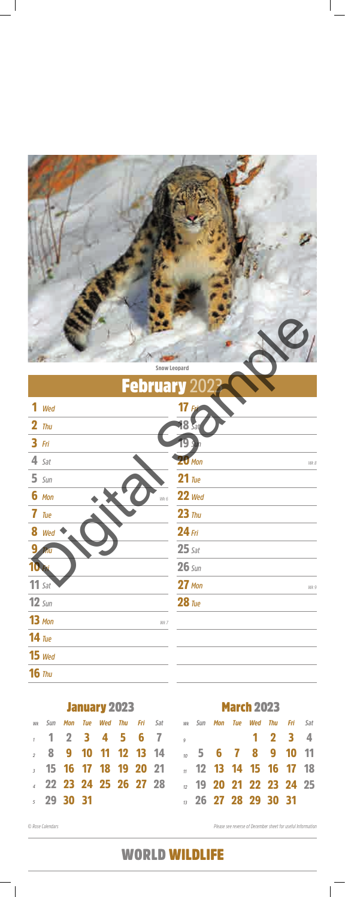

|  |  | <b>February</b> 2022 |
|--|--|----------------------|
|  |  |                      |
|  |  |                      |

|    | <b>January 2023</b> |         |  |  |  |  |  |                                                                    | <b>March 2023</b> |                                  |  |  |  |  |     |  |  |
|----|---------------------|---------|--|--|--|--|--|--------------------------------------------------------------------|-------------------|----------------------------------|--|--|--|--|-----|--|--|
| Wk | Sun                 |         |  |  |  |  |  | <b>Mon Tue Wed Thu Fri</b> Sat   wx Sun <b>Mon Tue Wed Thu Fri</b> |                   |                                  |  |  |  |  | Sat |  |  |
|    |                     |         |  |  |  |  |  | $1 2 3 4 5 6 7$ $1 2 3 4$                                          |                   |                                  |  |  |  |  |     |  |  |
|    |                     |         |  |  |  |  |  |                                                                    |                   |                                  |  |  |  |  |     |  |  |
|    |                     |         |  |  |  |  |  |                                                                    |                   |                                  |  |  |  |  |     |  |  |
|    |                     |         |  |  |  |  |  |                                                                    |                   |                                  |  |  |  |  |     |  |  |
|    |                     | 5293031 |  |  |  |  |  |                                                                    |                   | $\frac{1}{12}$ 26 27 28 29 30 31 |  |  |  |  |     |  |  |

#### *Wed* 15

### *Thu* 16

|                    | <b>Snow Leopard</b> |
|--------------------|---------------------|
| <b>February 20</b> |                     |
| 1<br>Wed           | 17                  |
| $2$ Thu            | <b>18 Sat</b>       |
| $3$ Fri            |                     |
| $4$ Sat            | $20$ Mon<br>Wk 8    |
| $5 \, \text{Sun}$  | $21$ Tue            |
| $6$ Mon<br>Wk 6    | $22$ Wed            |
| $7$ Tue            | $23$ Thu            |
| 8 Wed              | $24$ Fri            |
| <b>Thu</b>         | $25$ Sat            |
|                    | $26 \, \text{Sun}$  |
| $11$ Sat           | $27$ Mon<br>Wk 9    |
| $12 \,$ Sun        | $28$ Tue            |
| $13$ Mon<br>Wk 7   |                     |
| $14$ Tue           |                     |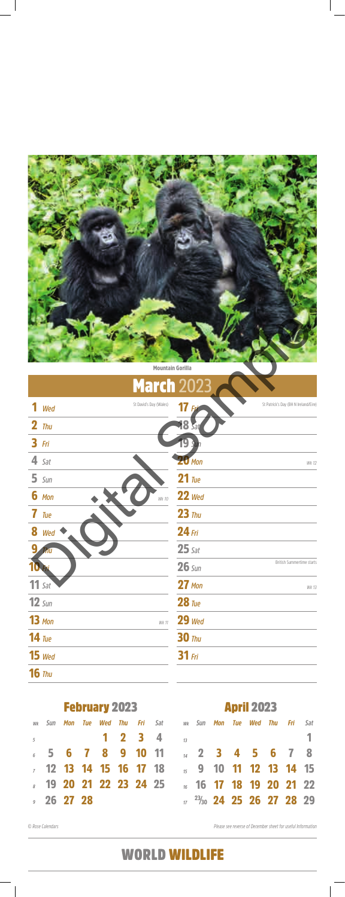

*© Rose Calendars Please see reverse of December sheet for useful Information*

|               |         | <b>February 2023</b> |         |                             | <b>April 2023</b>                    |  |  |  |                                   |  |                    |     |  |
|---------------|---------|----------------------|---------|-----------------------------|--------------------------------------|--|--|--|-----------------------------------|--|--------------------|-----|--|
| wk <b>Sun</b> | Mon Tue |                      | Wed Thu |                             | <b>Fri</b> Sat wk Sun <b>Mon Tue</b> |  |  |  |                                   |  | <b>Wed Thu Fri</b> | Sat |  |
|               |         |                      |         | $1 \quad 2 \quad 3 \quad 4$ |                                      |  |  |  |                                   |  |                    |     |  |
|               |         |                      |         |                             | 6 5 6 7 8 9 10 11 14 2 3 4 5 6 7 8   |  |  |  |                                   |  |                    |     |  |
|               |         |                      |         |                             |                                      |  |  |  |                                   |  |                    |     |  |
|               |         |                      |         |                             |                                      |  |  |  |                                   |  |                    |     |  |
| 9262728       |         |                      |         |                             |                                      |  |  |  | $\frac{23}{30}$ 24 25 26 27 28 29 |  |                    |     |  |
|               |         |                      |         |                             |                                      |  |  |  |                                   |  |                    |     |  |

*Wed* 15

### *Thu* 16

|   |                   | <b>Mountain Gorilla</b> |               |                                      |
|---|-------------------|-------------------------|---------------|--------------------------------------|
|   |                   | <b>March 2023</b>       |               |                                      |
|   | Wed               | St David's Day (Wales)  |               | St Patrick's Day (BH N Ireland/Eire) |
|   | $2$ Thu           |                         | <b>18 Sat</b> |                                      |
|   | $3$ Fri           |                         |               |                                      |
|   | $4$ Sat           |                         | <b>20</b> Mon | Wk 12                                |
|   | $5 \, \text{Sun}$ |                         | $21$ Tue      |                                      |
|   | $6$ Mon           | Wk 10                   | $22$ Wed      |                                      |
|   | 7 Tue             |                         | $23$ Thu      |                                      |
| 8 | Wed               |                         | $24$ Fri      |                                      |
|   | hu                |                         | $25$ Sat      |                                      |
|   |                   |                         | $26 \,$ Sun   | British Summertime starts            |
|   | $11$ Sat          |                         | $27$ Mon      | Wk 13                                |
|   | $12 \,$ Sun       |                         | $28$ Tue      |                                      |
|   | $13$ Mon          | Wk 11                   | $29$ Wed      |                                      |
|   | $14$ Tue          |                         | $30$ Thu      |                                      |

#### *Fri* 31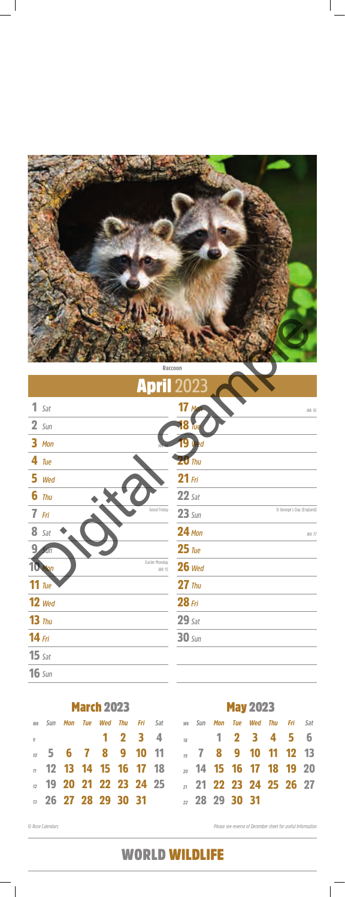

|                | <b>March 2023</b> |  |  |                                  |  |  |                                                                |                            | <b>May 2023</b> |  |  |  |  |  |  |  |
|----------------|-------------------|--|--|----------------------------------|--|--|----------------------------------------------------------------|----------------------------|-----------------|--|--|--|--|--|--|--|
|                |                   |  |  |                                  |  |  | wk Sun Mon Tue Wed Thu Fri Sat Mwk Sun Mon Tue Wed Thu Fri Sat |                            |                 |  |  |  |  |  |  |  |
| $\overline{q}$ |                   |  |  |                                  |  |  | 1 2 3 4 <sub>18</sub> 1 2 3 4 5 6                              |                            |                 |  |  |  |  |  |  |  |
|                |                   |  |  |                                  |  |  | <u>10</u> 5 6 7 8 9 10 11 10 12 13                             |                            |                 |  |  |  |  |  |  |  |
|                |                   |  |  |                                  |  |  | <b>12 13 14 15 16 17 18 20 14 15 16 17 18 19 20</b>            |                            |                 |  |  |  |  |  |  |  |
|                |                   |  |  |                                  |  |  | <u>12</u> 19 20 21 22 23 24 25 11 21 22 23 24 25 26 27         |                            |                 |  |  |  |  |  |  |  |
|                |                   |  |  | $\frac{1}{12}$ 26 27 28 29 30 31 |  |  |                                                                | $\frac{28}{2}$ 28 29 30 31 |                 |  |  |  |  |  |  |  |

|                       | Raccoon                |                    |                           |
|-----------------------|------------------------|--------------------|---------------------------|
|                       | <b>April 2023</b>      |                    |                           |
| $1$ Sat               |                        | $17$ Mon           | Wk 16                     |
| $2 \, \text{Sun}$     |                        | <b>18 Tue</b>      |                           |
| 3 Mon                 |                        | 19 Wed             |                           |
| $4$ Tue               |                        | $20$ Thu           |                           |
| 5 Wed                 |                        | $21$ Fri           |                           |
| $6$ Thu               |                        | $22$ Sat           |                           |
| $7$ Fri               | Good Friday            | $23 \, \text{Sun}$ | St George's Day (England) |
| $8$ Sat               |                        | <b>24 Mon</b>      | <b>Wk 17</b>              |
| 9 <sub>1</sub><br>Sun |                        | $25$ Tue           |                           |
| 10 Man                | Easter Monday<br>Wk 15 | $26$ Wed           |                           |
| $11$ Tue              |                        | $27$ Thu           |                           |
| $12$ Wed              |                        | $28$ Fri           |                           |
| $13$ Thu              |                        | $29$ Sat           |                           |
| $14$ Fri              |                        | $30 \,$ Sun        |                           |

### *Sun* 16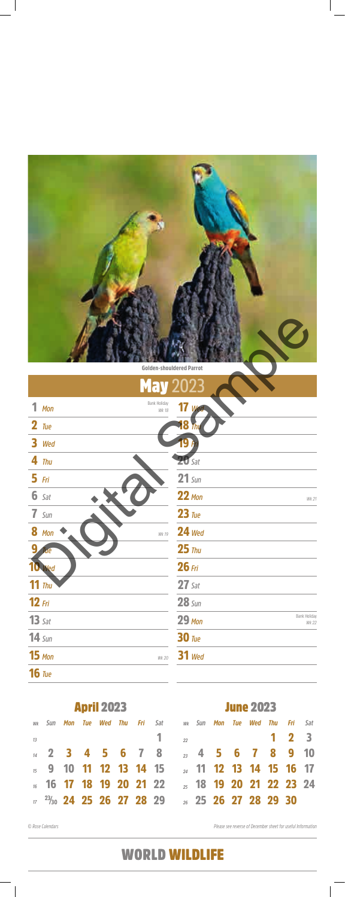# May **2023**

June 2023

| <b>Golden-shouldered Parrot</b>   |                                        |
|-----------------------------------|----------------------------------------|
| <b>May 2023</b>                   |                                        |
| Bank Holiday<br>1<br>Mon<br>Wk 18 | 17 wed                                 |
| $2$ Tue                           | 8                                      |
| 3 Wed                             |                                        |
| $4$ Thu                           | $20$ Sat                               |
| $5$ Fri                           | $21$ Sun                               |
| $6$ Sat                           | $22$ Mon<br>Wk 21                      |
| $7 \,$ Sun                        | $23$ Tue                               |
| <b>8</b> Mon<br>Wk 19             | $24$ Wed                               |
| q<br>ие                           | $25$ Thu                               |
| Wed                               | $26$ Fri                               |
| $11$ Thu                          | $27$ Sat                               |
| $12$ Fri                          | $28 \,$ Sun                            |
| $13$ Sat                          | Bank Holiday<br><b>29 Mon</b><br>Wk 22 |
| $14 \,$ Sun                       | $30$ Tue                               |
|                                   |                                        |

15 Mon

April 2023

|    |  |  |  | wk Sun <b>Mon Tue Wed Thu Fri</b> Sat   wk Sun <b>Mon Tue Wed Thu Fri</b> Sat |  |  |                     |  |
|----|--|--|--|-------------------------------------------------------------------------------|--|--|---------------------|--|
| 13 |  |  |  | $\frac{1}{22}$                                                                |  |  | $1 \quad 2 \quad 3$ |  |
|    |  |  |  | <sub>14</sub> 2 3 4 5 6 7 8 <sub>23</sub> 4 5 6 7 8 9 10                      |  |  |                     |  |
|    |  |  |  | $\frac{1}{15}$ 9 10 11 12 13 14 15 $\frac{1}{24}$ 11 12 13 14 15 16 17        |  |  |                     |  |
|    |  |  |  | 16 17 18 19 20 21 22     3 18 19 20 21 22 23 24                               |  |  |                     |  |
|    |  |  |  | $17$ $^{23}/30$ 24 25 26 27 28 29 $\frac{1}{26}$ 25 26 27 28 29 30            |  |  |                     |  |

*Wed* 31

### 16 Tue

*Wk 20*

# WORLD WILDLIFE

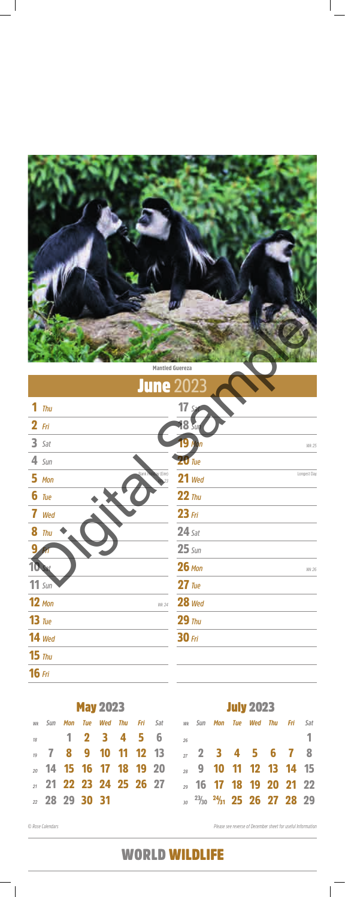

*© Rose Calendars Please see reverse of December sheet for useful Information*

|    |     |                | <b>May 2023</b>                    |  |                                                                |    | <b>July 2023</b><br>Sat<br><b>Mon Tue Wed Thu Fri</b> Sat wk Sun <b>Mon Tue Wed Thu Fri</b> |  |  |  |  |                                                                |  |  |  |
|----|-----|----------------|------------------------------------|--|----------------------------------------------------------------|----|---------------------------------------------------------------------------------------------|--|--|--|--|----------------------------------------------------------------|--|--|--|
| Wk | Sun |                |                                    |  |                                                                |    |                                                                                             |  |  |  |  |                                                                |  |  |  |
|    |     |                | 1 2 3 4 5 6                        |  |                                                                | 26 |                                                                                             |  |  |  |  |                                                                |  |  |  |
|    |     |                |                                    |  | $\frac{19}{19}$ 7 8 9 10 11 12 13 $\frac{1}{27}$ 2 3 4 5 6 7 8 |    |                                                                                             |  |  |  |  |                                                                |  |  |  |
|    |     |                | <sub>20</sub> 14 15 16 17 18 19 20 |  |                                                                |    |                                                                                             |  |  |  |  | 28 9 10 11 12 13 14 15                                         |  |  |  |
|    |     |                |                                    |  | 21 22 23 24 25 26 27 29 16 17 18 19 20 21 22                   |    |                                                                                             |  |  |  |  |                                                                |  |  |  |
|    |     | 22 28 29 30 31 |                                    |  |                                                                |    |                                                                                             |  |  |  |  | $\frac{23}{30}$ $\frac{23}{30}$ $\frac{24}{31}$ 25 26 27 28 29 |  |  |  |

|                                       | <b>Mantled Guereza</b>  |
|---------------------------------------|-------------------------|
|                                       | <b>June 2023</b>        |
| $1$ Thu                               | $17 s_i$                |
| $2$ Fri                               | <b>18 Sur</b>           |
| $3$ Sat                               | <b>9 Mon</b><br>Wk 25   |
| $4 \, \text{Sun}$                     | <b>20</b> Tue           |
| <b>Bank Holiday (Eire)</b><br>$5$ Mon | Longest Day<br>$21$ Wed |
| $6$ Tue                               | $22$ Thu                |
| 7 Wed                                 | $23$ Fri                |
| $8$ Thu                               | $24$ Sat                |
| q                                     | $25 \, \text{Sun}$      |
|                                       | $26$ Mon<br>Wk 26       |
| $11 \text{ Sun}$                      | $27$ Tue                |
| $12$ Mon<br>Wk 24                     | $28$ Wed                |
| $13$ Tue                              | $29$ Thu                |
| <b>14</b> Wed                         | $30$ Fri                |

#### *Thu* 15

### *Fri* 16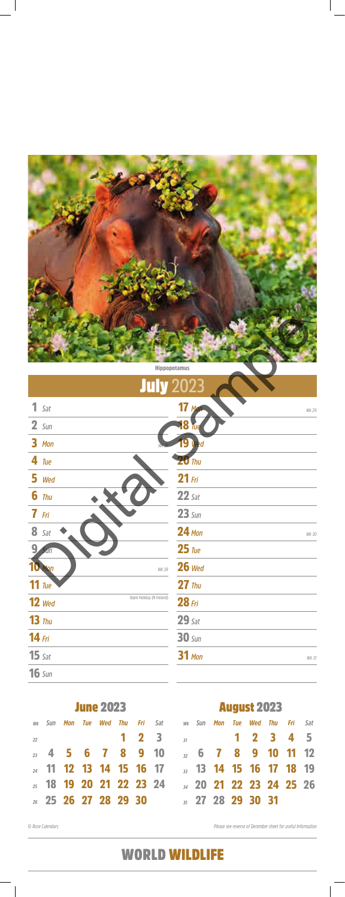

*© Rose Calendars Please see reverse of December sheet for useful Information*

|    |     |                                    | <b>June 2023</b> |     |                   |                                    |                             | <b>August 2023</b> |  |         |                              |     |                                    |  |  |  |  |
|----|-----|------------------------------------|------------------|-----|-------------------|------------------------------------|-----------------------------|--------------------|--|---------|------------------------------|-----|------------------------------------|--|--|--|--|
| Wk | Sun | Mon Tue                            | Wed              | Thu |                   |                                    | <b>Fri</b> Sat wk Sun       |                    |  | Mon Tue | Wed                          | Thu | <b>Fri</b> Sat                     |  |  |  |  |
| 22 |     |                                    |                  |     | $1\quad 2\quad 3$ |                                    |                             |                    |  |         |                              |     | $\frac{37}{2}$ 1 2 3 4 5           |  |  |  |  |
|    |     | $_2$ 4 5 6 7 8 9 10                |                  |     |                   |                                    |                             |                    |  |         |                              |     | $\frac{1}{32}$ 6 7 8 9 10 11 12    |  |  |  |  |
|    |     |                                    |                  |     |                   | <sub>24</sub> 11 12 13 14 15 16 17 | <b>13 14 15 16 17 18 19</b> |                    |  |         |                              |     |                                    |  |  |  |  |
|    |     | <sub>25</sub> 18 19 20 21 22 23 24 |                  |     |                   |                                    |                             |                    |  |         |                              |     | <sub>34</sub> 20 21 22 23 24 25 26 |  |  |  |  |
|    |     | <b>26 27 28 29 30</b>              |                  |     |                   |                                    |                             |                    |  |         | $\frac{1}{2}$ 27 28 29 30 31 |     |                                    |  |  |  |  |

|                                      | <b>Hippopotamus</b>    |
|--------------------------------------|------------------------|
| <b>July 2023</b>                     |                        |
| $1$ Sat                              | $17$ Mon<br>Wk 29      |
| $2 \, \text{Sun}$                    | <b>18 Tue</b>          |
| 3 Mon                                | 19 Wed                 |
| $4$ Tue                              | $20$ Thu               |
| 5 Wed                                | $21$ Fri               |
| $6$ Thu                              | $22$ Sat               |
| $7$ Fri                              | $23 \, \text{Sun}$     |
| 8 Sat                                | <b>24 Mon</b><br>Wk 30 |
| 9<br>Sun                             | $25$ Tue               |
| Mon<br>Wk 28                         | $26$ Wed               |
| 11 $\frac{1}{2}$                     | $27$ Thu               |
| Bank Holiday (N Ireland)<br>$12$ Wed | $28$ Fri               |
| $13$ Thu                             | $29$ Sat               |
| $14$ Fri                             | $30 \,$ Sun            |
|                                      |                        |

15 Sat

### *Sun* 16

#### *Mon* 31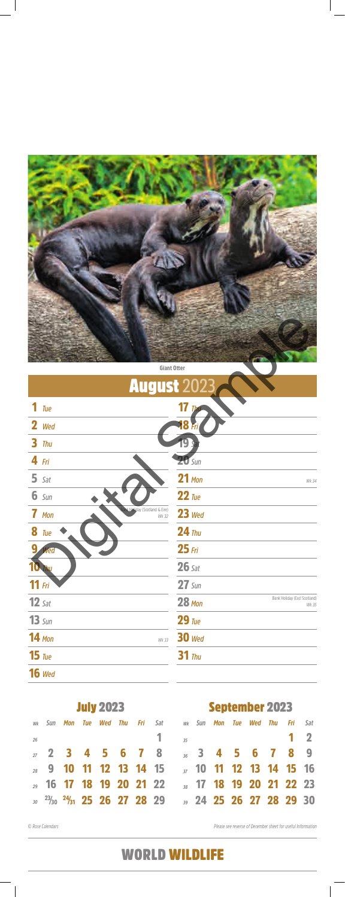

# **August 2**

*© Rose Calendars Please see reverse of December sheet for useful Information*

|    |     |                                | <b>July 2023</b> |  |  | <b>September 2023</b>         |  |         |  |     |     |                                    |              |
|----|-----|--------------------------------|------------------|--|--|-------------------------------|--|---------|--|-----|-----|------------------------------------|--------------|
| Wk | Sun | Mon Tue                        | Wed Thu          |  |  | <b>Fri</b> Sat wk Sun         |  | Mon Tue |  | Wed | Thu | Fri                                | Sat          |
| 26 |     |                                |                  |  |  | 25                            |  |         |  |     |     |                                    | $\mathbf{2}$ |
|    |     |                                |                  |  |  | 2 2 3 4 5 6 7 8 3 4 5 6 7 8 9 |  |         |  |     |     |                                    |              |
|    |     |                                |                  |  |  |                               |  |         |  |     |     |                                    |              |
|    |     | 29 16 17 18 19 20 21 22        |                  |  |  |                               |  |         |  |     |     | <sub>38</sub> 17 18 19 20 21 22 23 |              |
|    |     | $23/30$ $24/31$ 25 26 27 28 29 |                  |  |  |                               |  |         |  |     |     | <sub>39</sub> 24 25 26 27 28 29 30 |              |

*Tue* 15

### *Wed* 16

|                                                    | <b>Giant Otter</b>                                     |
|----------------------------------------------------|--------------------------------------------------------|
|                                                    | <b>August 2023</b>                                     |
| 1<br>Tue                                           | $17 \, \mu$                                            |
| 2 Wed                                              | <b>18</b> Fri                                          |
| $3$ Thu                                            |                                                        |
| $4$ Fri                                            | $20 \text{ Sun}$                                       |
| $5$ Sat                                            | $21$ Mon<br>Wk 34                                      |
| $6 \, \text{Sun}$                                  | $22$ Tue                                               |
| <b>Holiday</b> (Scotland & Eire)<br>7 Mon<br>Wk 32 | $23$ Wed                                               |
| $8$ Tue                                            | $24$ Thu                                               |
| 9<br>Wed                                           | $25$ Fri                                               |
|                                                    | $26$ Sat                                               |
| $11$ Fri                                           | $27 \,$ Sun                                            |
| $12$ sat                                           | Bank Holiday (Excl Scotland)<br><b>28 Mon</b><br>Wk 35 |
| $13 \,$ Sun                                        | $29$ Tue                                               |
| <b>14 Mon</b><br>Wk 33                             | <b>30</b> Wed                                          |

#### *Thu* 31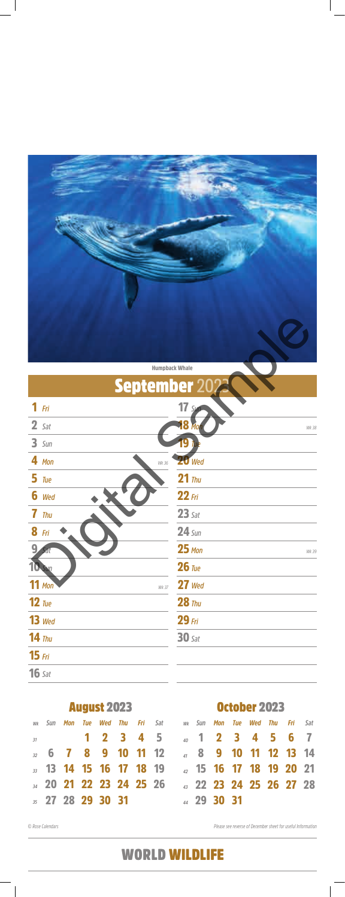

| <b>Humpback Whale</b> |  |
|-----------------------|--|
|-----------------------|--|

|    |     |         | <b>August 2023</b>                 |  |                                 |                               | October 2023  |                         |  |                                |  |  |  |  |  |
|----|-----|---------|------------------------------------|--|---------------------------------|-------------------------------|---------------|-------------------------|--|--------------------------------|--|--|--|--|--|
| Wk | Sun | Mon Tue |                                    |  | <b>Wed Thu Fri</b> Sat          |                               | wk <b>Sun</b> |                         |  | <b>Mon Tue Wed Thu Fri</b> Sat |  |  |  |  |  |
| 31 |     |         |                                    |  | 1 2 3 4 5                       | $\frac{40}{40}$ 1 2 3 4 5 6 7 |               |                         |  |                                |  |  |  |  |  |
|    |     |         |                                    |  | $\frac{1}{22}$ 6 7 8 9 10 11 12 |                               |               | 4 8 9 10 11 12 13 14    |  |                                |  |  |  |  |  |
|    |     |         | <b>33</b> 13 14 15 16 17 18 19     |  |                                 |                               |               | 42 15 16 17 18 19 20 21 |  |                                |  |  |  |  |  |
|    |     |         | <sub>34</sub> 20 21 22 23 24 25 26 |  |                                 |                               |               | 43 22 23 24 25 26 27 28 |  |                                |  |  |  |  |  |
|    |     |         | $\frac{1}{35}$ 27 28 29 30 31      |  |                                 |                               |               | 44 29 30 31             |  |                                |  |  |  |  |  |

|                    | <b>Humpback Whale</b>       |
|--------------------|-----------------------------|
| <b>September 2</b> |                             |
| $1$ Fri            | $17 \, s$                   |
| $2$ Sat            | <b>8 Mo</b><br><b>Wk 38</b> |
| $3 \,$ Sun         |                             |
| 4 Mon<br>Wk 36     | <b>20</b> Wed               |
| $5$ Tue            | $21$ Thu                    |
| 6 Wed              | $22$ Fri                    |
| 7<br><b>Thu</b>    | $23$ Sat                    |
| <b>8</b> Fri       | $24 \, \text{Sun}$          |
|                    | $25$ Mon<br>Wk 39           |
|                    | $26$ Tue                    |
| $11$ Mon<br>Wk 37  | $27$ Wed                    |
| $12$ Tue           | $28$ Thu                    |
| $13$ Wed           | $29$ Fri                    |
| $14$ Thu           | $30$ Sat                    |

#### *Fri* 15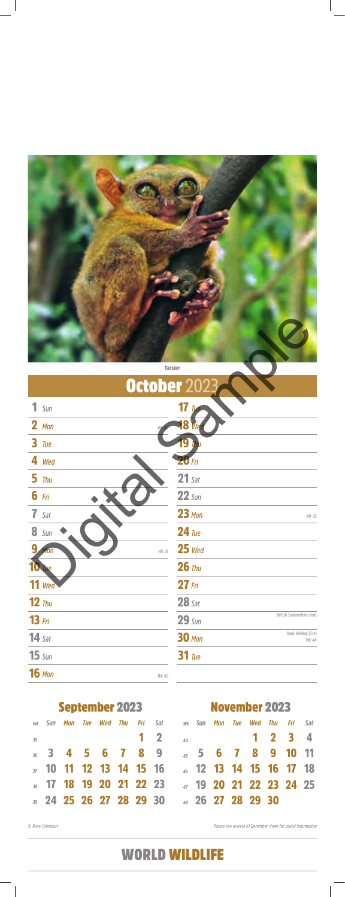November 2023

*35*

*36*

*37*

*38*

September 2023

|    |  |  |  | wk Sun Mon Tue Wed Thu Fri Sat wk Sun Mon Tue Wed Thu Fri Sat             |  |  |  |  |
|----|--|--|--|---------------------------------------------------------------------------|--|--|--|--|
| 35 |  |  |  | $1 \t2 \t4 \t1 \t2 \t3 \t4$                                               |  |  |  |  |
|    |  |  |  | $_3$ 3 4 5 6 7 8 9 $_4$ 5 6 7 8 9 10 11                                   |  |  |  |  |
|    |  |  |  | <sub>37</sub> 10 <b>11 12 13 14 15 16</b> 46 1 <b>2 13 14 15 16 17 18</b> |  |  |  |  |
|    |  |  |  |                                                                           |  |  |  |  |
|    |  |  |  | 39 24 25 26 27 28 29 30 48 26 27 28 29 30                                 |  |  |  |  |

|                         | Tarsier                                       |
|-------------------------|-----------------------------------------------|
| October 202             |                                               |
| $1$ Sun<br>$2$ Mon<br>W | $17$ Tue<br>18                                |
| $3$ Tue                 |                                               |
| 4 Wed                   | <b>20 Fri</b>                                 |
| $5$ Thu                 | $21$ Sat                                      |
| $6$ Fri                 | $22 \text{ Sun}$                              |
| $7$ Sat                 | $23$ Mon<br>Wk 43                             |
| <b>8</b> Sun            | $24$ Tue                                      |
| 9<br>Mon<br>Wk 41       | $25$ Wed                                      |
|                         | $26$ Thu                                      |
| $11$ Wed                | $27$ Fri                                      |
| $12$ Thu                | $28$ Sat                                      |
| $13$ Fri                | British Summertime ends<br>$29 \sin$          |
| $14$ Sat                | Bank Holiday (Eire)<br><b>30 Mon</b><br>Wk 44 |
|                         |                                               |

*Sun* 15

*Tue* 31

*Wk 42*

### 16 Mon

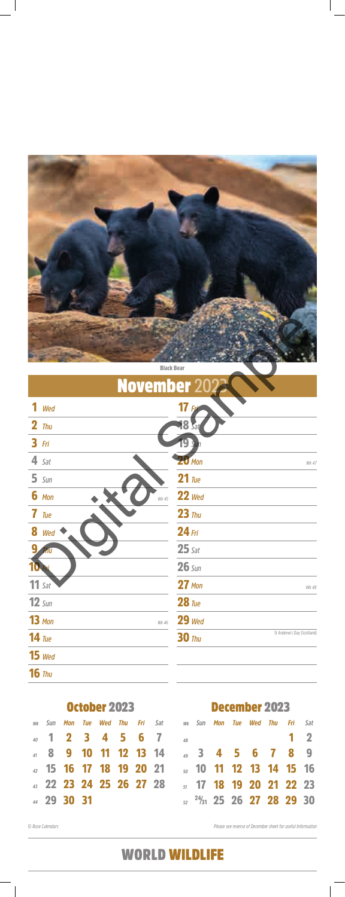

|    |      |             | October 2023            |                |                         |          |  | December 2023                       |     |                |            |
|----|------|-------------|-------------------------|----------------|-------------------------|----------|--|-------------------------------------|-----|----------------|------------|
| Wk | -Sun |             | Mon Tue Wed Thu         | <b>Fri</b> Sat |                         | wk Sun   |  | Mon Tue Wed                         | Thu | <b>Fri</b> Sat |            |
|    |      |             | 40 1 2 3 4 5 6 7        |                |                         | $\Delta$ |  |                                     |     |                | $1\quad 2$ |
|    |      |             | 8 9 10 11 12 13 14      |                |                         |          |  | $\frac{49}{49}$ 3 4 5 6 7 8 9       |     |                |            |
|    |      |             |                         |                | 42 15 16 17 18 19 20 21 |          |  | $\frac{1}{20}$ 10 11 12 13 14 15 16 |     |                |            |
|    |      |             | 43 22 23 24 25 26 27 28 |                |                         |          |  | <sub>51</sub> 17 18 19 20 21 22 23  |     |                |            |
|    |      | 44 29 30 31 |                         |                |                         |          |  | $\frac{24}{31}$ 25 26 27 28 29 30   |     |                |            |

| <b>Black Bear</b>  |                                             |
|--------------------|---------------------------------------------|
| <b>November 20</b> |                                             |
| Wed                | $17$ Fri                                    |
| $2$ Thu            | <b>18 Sat</b>                               |
| $3$ Fri            | 19 sun                                      |
| $4$ Sat            | $20$ Mon<br>Wk 47                           |
| $5 \, \text{Sun}$  | $21$ Tue                                    |
| $6$ Mon<br>Wk 45   | $22$ Wed                                    |
| 7<br>Tue           | $23$ Thu                                    |
| 8<br>Wed           | $24$ Fri                                    |
| 9<br><b>Thu</b>    | $25$ Sat                                    |
|                    | $26 \,$ Sun                                 |
| $11$ Sat           | $27$ Mon<br>Wk 48                           |
| $12 \, \text{Sun}$ | $28$ Tue                                    |
| $13$ Mon<br>Wk 46  | $29$ Wed                                    |
| $14$ Tue           | St Andrew's Day (Scotland)<br><b>30 Thu</b> |
|                    |                                             |

#### *Wed* 15

### *Thu* 16